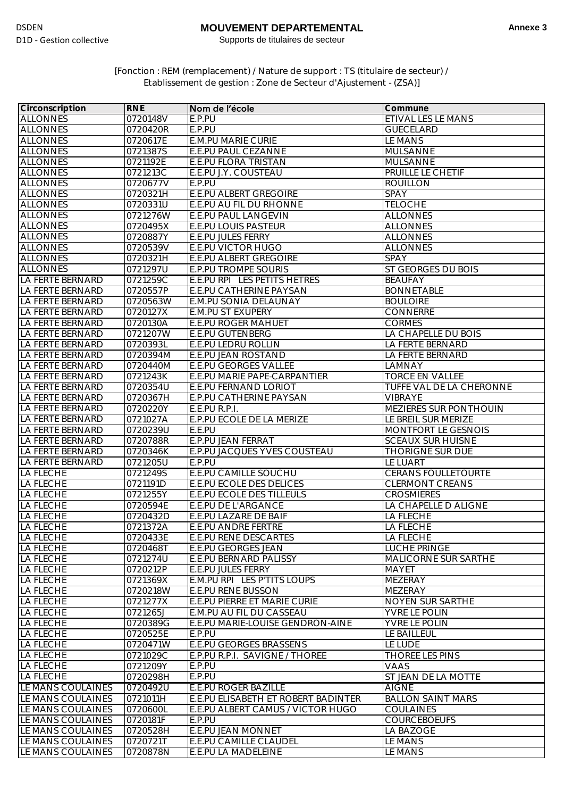## **MOUVEMENT DEPARTEMENTAL**

Supports de titulaires de secteur

[Fonction : REM (remplacement) / Nature de support : TS (titulaire de secteur) / Etablissement de gestion : Zone de Secteur d'Ajustement - (ZSA)]

| Circonscription                             | <b>RNE</b>           | Nom de l'école                             | Commune                                       |
|---------------------------------------------|----------------------|--------------------------------------------|-----------------------------------------------|
| <b>ALLONNES</b>                             | 0720148V             | E.P.PU                                     | ETIVAL LES LE MANS                            |
| <b>ALLONNES</b>                             | 0720420R             | E.P.PU                                     | <b>GUECELARD</b>                              |
| <b>ALLONNES</b>                             | 0720617E             | <b>E.M.PU MARIE CURIE</b>                  | <b>LE MANS</b>                                |
| <b>ALLONNES</b>                             | 0721387S             | E.E.PU PAUL CEZANNE                        | <b>MULSANNE</b>                               |
| <b>ALLONNES</b>                             | 0721192E             | <b>E.E.PU FLORA TRISTAN</b>                | <b>MULSANNE</b>                               |
| <b>ALLONNES</b>                             | 0721213C             | E.E.PU J.Y. COUSTEAU                       | PRUILLE LE CHETIF                             |
| <b>ALLONNES</b>                             | 0720677V             | E.P.PU                                     | <b>ROUILLON</b>                               |
| <b>ALLONNES</b>                             | 0720321H             | <b>E.E.PU ALBERT GREGOIRE</b>              | SPAY                                          |
| <b>ALLONNES</b>                             | 0720331U             | E.E.PU AU FIL DU RHONNE                    | <b>TELOCHE</b>                                |
| <b>ALLONNES</b>                             | 0721276W             | <b>E.E.PU PAUL LANGEVIN</b>                | <b>ALLONNES</b>                               |
| <b>ALLONNES</b>                             | 0720495X             | E.E.PU LOUIS PASTEUR                       | <b>ALLONNES</b>                               |
| <b>ALLONNES</b>                             | 0720887Y             | <b>E.E.PU JULES FERRY</b>                  | <b>ALLONNES</b>                               |
| <b>ALLONNES</b>                             | 0720539V             | <b>E.E.PU VICTOR HUGO</b>                  | <b>ALLONNES</b>                               |
| <b>ALLONNES</b>                             | 0720321H             | <b>E.E.PU ALBERT GREGOIRE</b>              | <b>SPAY</b>                                   |
| <b>ALLONNES</b>                             | 0721297U             | <b>E.P.PU TROMPE SOURIS</b>                | ST GEORGES DU BOIS                            |
| <b>LA FERTE BERNARD</b>                     | 0721259C             | E.E.PU RPI LES PETITS HETRES               | <b>BEAUFAY</b>                                |
| LA FERTE BERNARD                            | 0720557P             | <b>E.E.PU CATHERINE PAYSAN</b>             | <b>BONNETABLE</b>                             |
| <b>LA FERTE BERNARD</b>                     | 0720563W             | E.M.PU SONIA DELAUNAY                      | <b>BOULOIRE</b>                               |
| <b>LA FERTE BERNARD</b>                     | 0720127X             | <b>E.M.PU ST EXUPERY</b>                   | <b>CONNERRE</b>                               |
| LA FERTE BERNARD                            | 0720130A             | <b>E.E.PU ROGER MAHUET</b>                 | <b>CORMES</b>                                 |
| <b>LA FERTE BERNARD</b>                     | 0721207W             | <b>E.E.PU GUTENBERG</b>                    | LA CHAPELLE DU BOIS                           |
| LA FERTE BERNARD                            | 0720393L             | E.E.PU LEDRU ROLLIN                        | LA FERTE BERNARD                              |
| LA FERTE BERNARD                            | 0720394M             | <b>E.E.PU JEAN ROSTAND</b>                 | LA FERTE BERNARD                              |
| LA FERTE BERNARD                            | 0720440M             | <b>E.E.PU GEORGES VALLEE</b>               | LAMNAY                                        |
| <b>LA FERTE BERNARD</b>                     | 0721243K             | E.E.PU MARIE PAPE-CARPANTIER               | <b>TORCE EN VALLEE</b>                        |
| <b>LA FERTE BERNARD</b>                     | 0720354U             | E.E.PU FERNAND LORIOT                      | TUFFE VAL DE LA CHERONNE                      |
| LA FERTE BERNARD                            | 0720367H             | E.P.PU CATHERINE PAYSAN                    | <b>VIBRAYE</b>                                |
| LA FERTE BERNARD<br><b>LA FERTE BERNARD</b> | 0720220Y             | E.E.PU R.P.I.<br>E.P.PU ECOLE DE LA MERIZE | MEZIERES SUR PONTHOUIN<br>LE BREIL SUR MERIZE |
| LA FERTE BERNARD                            | 0721027A<br>0720239U | E.E.PU                                     | MONTFORT LE GESNOIS                           |
| <b>LA FERTE BERNARD</b>                     | 0720788R             | <b>E.P.PU JEAN FERRAT</b>                  | <b>SCEAUX SUR HUISNE</b>                      |
| <b>LA FERTE BERNARD</b>                     | 0720346K             | E.P.PU JACQUES YVES COUSTEAU               | <b>THORIGNE SUR DUE</b>                       |
| <b>LA FERTE BERNARD</b>                     | 0721205U             | E.P.PU                                     | LE LUART                                      |
| <b>LA FLECHE</b>                            | 0721249S             | E.E.PU CAMILLE SOUCHU                      | <b>CERANS FOULLETOURTE</b>                    |
| <b>LA FLECHE</b>                            | 0721191D             | E.E.PU ECOLE DES DELICES                   | <b>CLERMONT CREANS</b>                        |
| <b>LA FLECHE</b>                            | 0721255Y             | E.E.PU ECOLE DES TILLEULS                  | <b>CROSMIERES</b>                             |
| <b>LA FLECHE</b>                            | 0720594E             | E.E.PU DE L'ARGANCE                        | LA CHAPELLE D ALIGNE                          |
| <b>LA FLECHE</b>                            | 0720432D             | <b>E.E.PU LAZARE DE BAIF</b>               | LA FLECHE                                     |
| LA FLECHE                                   | 0721372A             | <b>E.E.PU ANDRE FERTRE</b>                 | LA FLECHE                                     |
| <b>LA FLECHE</b>                            | 0720433E             | <b>E.E.PU RENE DESCARTES</b>               | LA FLECHE                                     |
| <b>LA FLECHE</b>                            | 0720468T             | <b>E.E.PU GEORGES JEAN</b>                 | <b>LUCHE PRINGE</b>                           |
| <b>LA FLECHE</b>                            | 0721274U             | E.E.PU BERNARD PALISSY                     | <b>MALICORNE SUR SARTHE</b>                   |
| <b>LA FLECHE</b>                            | 0720212P             | <b>E.E.PU JULES FERRY</b>                  | <b>MAYET</b>                                  |
| <b>LA FLECHE</b>                            | 0721369X             | E.M.PU RPI LES P'TITS LOUPS                | MEZERAY                                       |
| <b>LA FLECHE</b>                            | 0720218W             | <b>E.E.PU RENE BUSSON</b>                  | MEZERAY                                       |
| <b>LA FLECHE</b>                            | 0721277X             | E.E.PU PIERRE ET MARIE CURIE               | NOYEN SUR SARTHE                              |
| <b>LA FLECHE</b>                            | 0721265J             | E.M.PU AU FIL DU CASSEAU                   | YVRE LE POLIN                                 |
| <b>LA FLECHE</b>                            | 0720389G             | E.E.PU MARIE-LOUISE GENDRON-AINE<br>E.P.PU | YVRE LE POLIN                                 |
| <b>LA FLECHE</b><br><b>LA FLECHE</b>        | 0720525E<br>0720471W | <b>E.E.PU GEORGES BRASSENS</b>             | LE BAILLEUL<br>LE LUDE                        |
| <b>LA FLECHE</b>                            | 0721029C             | E.P.PU R.P.I. SAVIGNE / THOREE             | <b>THOREE LES PINS</b>                        |
| <b>LA FLECHE</b>                            | 0721209Y             | E.P.PU                                     | VAAS                                          |
| <b>LA FLECHE</b>                            | 0720298H             | E.P.PU                                     | ST JEAN DE LA MOTTE                           |
| LE MANS COULAINES                           | 0720492U             | <b>E.E.PU ROGER BAZILLE</b>                | <b>AIGNE</b>                                  |
| LE MANS COULAINES                           | 0721011H             | E.E.PU ELISABETH ET ROBERT BADINTER        | <b>BALLON SAINT MARS</b>                      |
| LE MANS COULAINES                           | 0720600L             | E.E.PU ALBERT CAMUS / VICTOR HUGO          | <b>COULAINES</b>                              |
| LE MANS COULAINES                           | 0720181F             | E.P.PU                                     | <b>COURCEBOEUFS</b>                           |
| LE MANS COULAINES                           | 0720528H             | <b>E.E.PU JEAN MONNET</b>                  | LA BAZOGE                                     |
| LE MANS COULAINES                           | 0720721T             | <b>E.E.PU CAMILLE CLAUDEL</b>              | <b>LE MANS</b>                                |
| LE MANS COULAINES                           | 0720878N             | E.E.PU LA MADELEINE                        | LE MANS                                       |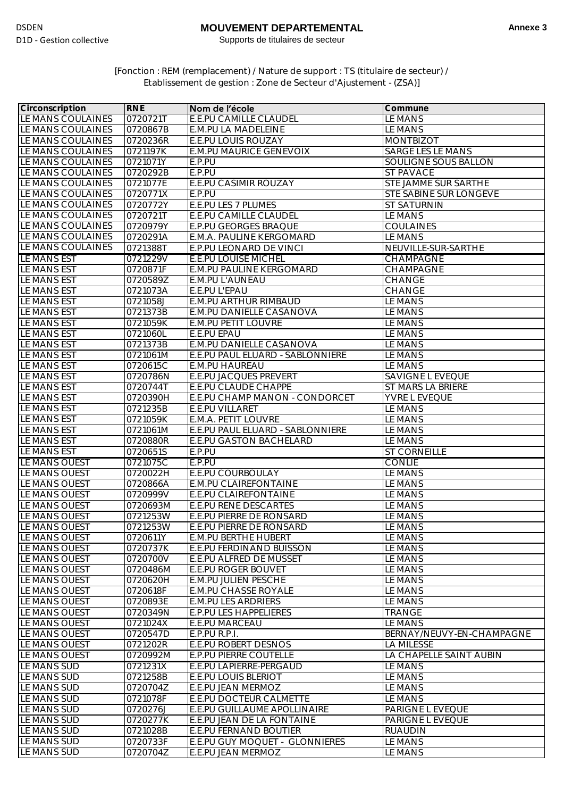## **MOUVEMENT DEPARTEMENTAL**

Supports de titulaires de secteur

[Fonction : REM (remplacement) / Nature de support : TS (titulaire de secteur) / Etablissement de gestion : Zone de Secteur d'Ajustement - (ZSA)]

| Circonscription    | <b>RNE</b> | Nom de l'école                   | Commune                   |
|--------------------|------------|----------------------------------|---------------------------|
| LE MANS COULAINES  | 0720721T   | <b>E.E.PU CAMILLE CLAUDEL</b>    | <b>LE MANS</b>            |
| LE MANS COULAINES  | 0720867B   | E.M.PU LA MADELEINE              | LE MANS                   |
| LE MANS COULAINES  | 0720236R   | <b>E.E.PU LOUIS ROUZAY</b>       | <b>MONTBIZOT</b>          |
| LE MANS COULAINES  | 0721197K   | <b>E.M.PU MAURICE GENEVOIX</b>   | <b>SARGE LES LE MANS</b>  |
| LE MANS COULAINES  | 0721071Y   | E.P.PU                           | SOULIGNE SOUS BALLON      |
| LE MANS COULAINES  | 0720292B   | E.P.PU                           | <b>ST PAVACE</b>          |
| LE MANS COULAINES  | 0721077E   | E.E.PU CASIMIR ROUZAY            | STE JAMME SUR SARTHE      |
| LE MANS COULAINES  | 0720771X   | E.P.PU                           | STE SABINE SUR LONGEVE    |
| LE MANS COULAINES  | 0720772Y   | E.E.PU LES 7 PLUMES              | <b>ST SATURNIN</b>        |
| LE MANS COULAINES  | 0720721T   | E.E.PU CAMILLE CLAUDEL           | LE MANS                   |
| LE MANS COULAINES  | 0720979Y   | <b>E.P.PU GEORGES BRAQUE</b>     | <b>COULAINES</b>          |
| LE MANS COULAINES  | 0720291A   | E.M.A. PAULINE KERGOMARD         | LE MANS                   |
| LE MANS COULAINES  | 0721388T   | E.P.PU LEONARD DE VINCI          | NEUVILLE-SUR-SARTHE       |
| LE MANS EST        | 0721229V   | <b>E.E.PU LOUISE MICHEL</b>      | <b>CHAMPAGNE</b>          |
| LE MANS EST        | 0720871F   | E.M.PU PAULINE KERGOMARD         | CHAMPAGNE                 |
| LE MANS EST        | 0720589Z   | E.M.PU L'AUNEAU                  | <b>CHANGE</b>             |
| LE MANS EST        | 0721073A   | E.E.PU L'EPAU                    | <b>CHANGE</b>             |
| LE MANS EST        | 0721058J   | E.M.PU ARTHUR RIMBAUD            | LE MANS                   |
| <b>LE MANS EST</b> | 0721373B   | <b>E.M.PU DANIELLE CASANOVA</b>  | <b>LE MANS</b>            |
| LE MANS EST        | 0721059K   | <b>E.M.PU PETIT LOUVRE</b>       | LE MANS                   |
| LE MANS EST        | 0721060L   | E.E.PU EPAU                      | <b>LE MANS</b>            |
| LE MANS EST        | 0721373B   | E.M.PU DANIELLE CASANOVA         | <b>LE MANS</b>            |
| <b>LE MANS EST</b> | 0721061M   | E.E.PU PAUL ELUARD - SABLONNIERE | <b>LE MANS</b>            |
| <b>LE MANS EST</b> | 0720615C   | <b>E.M.PU HAUREAU</b>            | LE MANS                   |
| LE MANS EST        | 0720786N   | <b>E.E.PU JACQUES PREVERT</b>    | <b>SAVIGNE L EVEQUE</b>   |
| LE MANS EST        | 0720744T   | <b>E.E.PU CLAUDE CHAPPE</b>      | ST MARS LA BRIERE         |
| LE MANS EST        | 0720390H   | E.E.PU CHAMP MANON - CONDORCET   | YVRE L EVEQUE             |
| LE MANS EST        | 0721235B   | E.E.PU VILLARET                  | <b>LE MANS</b>            |
| LE MANS EST        | 0721059K   | E.M.A. PETIT LOUVRE              | LE MANS                   |
| LE MANS EST        | 0721061M   | E.E.PU PAUL ELUARD - SABLONNIERE | <b>LE MANS</b>            |
| LE MANS EST        | 0720880R   | <b>E.E.PU GASTON BACHELARD</b>   | LE MANS                   |
| LE MANS EST        | 0720651S   | E.P.PU                           | <b>ST CORNEILLE</b>       |
| LE MANS OUEST      | 0721075C   | E.P.PU                           | <b>CONLIE</b>             |
| LE MANS OUEST      | 0720022H   | <b>E.E.PU COURBOULAY</b>         | <b>LE MANS</b>            |
| LE MANS OUEST      | 0720866A   | <b>E.M.PU CLAIREFONTAINE</b>     | LE MANS                   |
| LE MANS OUEST      | 0720999V   | <b>E.E.PU CLAIREFONTAINE</b>     | LE MANS                   |
| LE MANS OUEST      | 0720693M   | <b>E.E.PU RENE DESCARTES</b>     | LE MANS                   |
| LE MANS OUEST      | 0721253W   | E.E.PU PIERRE DE RONSARD         | <b>LE MANS</b>            |
| LE MANS OUEST      | 0721253W   | E.E.PU PIERRE DE RONSARD         | LE MANS                   |
| LE MANS OUEST      | 0720611Y   | <b>E.M.PU BERTHE HUBERT</b>      | <b>LE MANS</b>            |
| LE MANS OUEST      | 0720737K   | E.E.PU FERDINAND BUISSON         | <b>LE MANS</b>            |
| LE MANS OUEST      | 0720700V   | E.E.PU ALFRED DE MUSSET          | LE MANS                   |
| LE MANS OUEST      | 0720486M   | <b>E.E.PU ROGER BOUVET</b>       | LE MANS                   |
| LE MANS OUEST      | 0720620H   | <b>E.M.PU JULIEN PESCHE</b>      | LE MANS                   |
| LE MANS OUEST      | 0720618F   | E.M.PU CHASSE ROYALE             | LE MANS                   |
| LE MANS OUEST      | 0720893E   | <b>E.M.PU LES ARDRIERS</b>       | LE MANS                   |
| LE MANS OUEST      | 0720349N   | E.P.PU LES HAPPELIERES           | <b>TRANGE</b>             |
| LE MANS OUEST      | 0721024X   | E.E.PU MARCEAU                   | <b>LE MANS</b>            |
| LE MANS OUEST      | 0720547D   | E.P.PU R.P.I.                    | BERNAY/NEUVY-EN-CHAMPAGNE |
| LE MANS OUEST      | 0721202R   | <b>E.E.PU ROBERT DESNOS</b>      | <b>LA MILESSE</b>         |
| LE MANS OUEST      | 0720992M   | <b>E.P.PU PIERRE COUTELLE</b>    | LA CHAPELLE SAINT AUBIN   |
| LE MANS SUD        | 0721231X   | E.E.PU LAPIERRE-PERGAUD          | LE MANS                   |
| LE MANS SUD        | 0721258B   | <b>E.E.PU LOUIS BLERIOT</b>      | LE MANS                   |
| LE MANS SUD        | 0720704Z   | E.E.PU JEAN MERMOZ               | LE MANS                   |
| LE MANS SUD        | 0721078F   | E.E.PU DOCTEUR CALMETTE          | LE MANS                   |
| LE MANS SUD        | 0720276J   | E.E.PU GUILLAUME APOLLINAIRE     | PARIGNE L EVEQUE          |
| LE MANS SUD        | 0720277K   | E.E.PU JEAN DE LA FONTAINE       | PARIGNE L EVEQUE          |
| LE MANS SUD        | 0721028B   | <b>E.E.PU FERNAND BOUTIER</b>    | <b>RUAUDIN</b>            |
| LE MANS SUD        | 0720733F   | E.E.PU GUY MOQUET - GLONNIERES   | LE MANS                   |
| LE MANS SUD        | 0720704Z   | E.E.PU JEAN MERMOZ               | LE MANS                   |